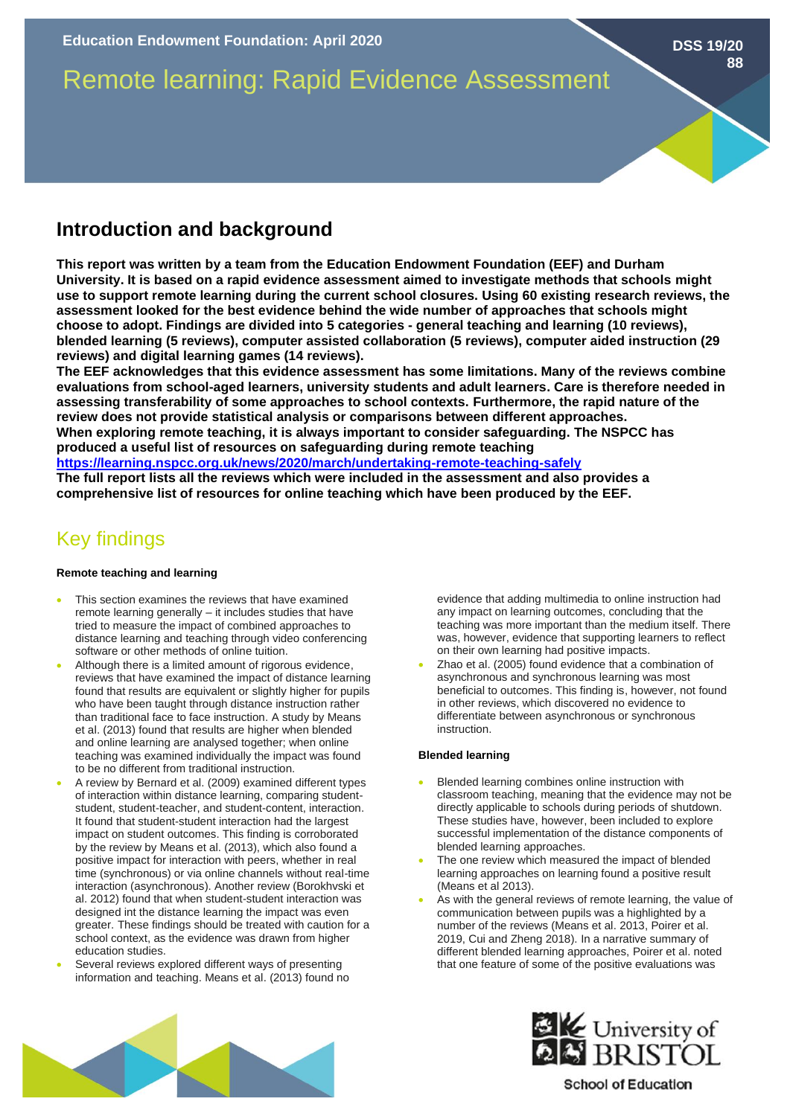# Remote learning: Rapid Evidence Assessment

## **Introduction and background**

**This report was written by a team from the Education Endowment Foundation (EEF) and Durham University. It is based on a rapid evidence assessment aimed to investigate methods that schools might use to support remote learning during the current school closures. Using 60 existing research reviews, the assessment looked for the best evidence behind the wide number of approaches that schools might choose to adopt. Findings are divided into 5 categories - general teaching and learning (10 reviews), blended learning (5 reviews), computer assisted collaboration (5 reviews), computer aided instruction (29 reviews) and digital learning games (14 reviews).** 

**The EEF acknowledges that this evidence assessment has some limitations. Many of the reviews combine evaluations from school-aged learners, university students and adult learners. Care is therefore needed in assessing transferability of some approaches to school contexts. Furthermore, the rapid nature of the review does not provide statistical analysis or comparisons between different approaches. When exploring remote teaching, it is always important to consider safeguarding. The NSPCC has produced a useful list of resources on safeguarding during remote teaching <https://learning.nspcc.org.uk/news/2020/march/undertaking-remote-teaching-safely>**

**The full report lists all the reviews which were included in the assessment and also provides a comprehensive list of resources for online teaching which have been produced by the EEF.** 

## Key findings

## **Remote teaching and learning**

- This section examines the reviews that have examined remote learning generally – it includes studies that have tried to measure the impact of combined approaches to distance learning and teaching through video conferencing software or other methods of online tuition.
- Although there is a limited amount of rigorous evidence, reviews that have examined the impact of distance learning found that results are equivalent or slightly higher for pupils who have been taught through distance instruction rather than traditional face to face instruction. A study by Means et al. (2013) found that results are higher when blended and online learning are analysed together; when online teaching was examined individually the impact was found to be no different from traditional instruction.
- A review by Bernard et al. (2009) examined different types of interaction within distance learning, comparing studentstudent, student-teacher, and student-content, interaction. It found that student-student interaction had the largest impact on student outcomes. This finding is corroborated by the review by Means et al. (2013), which also found a positive impact for interaction with peers, whether in real time (synchronous) or via online channels without real-time interaction (asynchronous). Another review (Borokhvski et al. 2012) found that when student-student interaction was designed int the distance learning the impact was even greater. These findings should be treated with caution for a school context, as the evidence was drawn from higher education studies.
- Several reviews explored different ways of presenting information and teaching. Means et al. (2013) found no

evidence that adding multimedia to online instruction had any impact on learning outcomes, concluding that the teaching was more important than the medium itself. There was, however, evidence that supporting learners to reflect on their own learning had positive impacts.

• Zhao et al. (2005) found evidence that a combination of asynchronous and synchronous learning was most beneficial to outcomes. This finding is, however, not found in other reviews, which discovered no evidence to differentiate between asynchronous or synchronous instruction.

#### **Blended learning**

- Blended learning combines online instruction with classroom teaching, meaning that the evidence may not be directly applicable to schools during periods of shutdown. These studies have, however, been included to explore successful implementation of the distance components of blended learning approaches.
- The one review which measured the impact of blended learning approaches on learning found a positive result (Means et al 2013).
- As with the general reviews of remote learning, the value of communication between pupils was a highlighted by a number of the reviews (Means et al. 2013, Poirer et al. 2019, Cui and Zheng 2018). In a narrative summary of different blended learning approaches, Poirer et al. noted that one feature of some of the positive evaluations was





**School of Education** 

## **DSS 19/20 88**